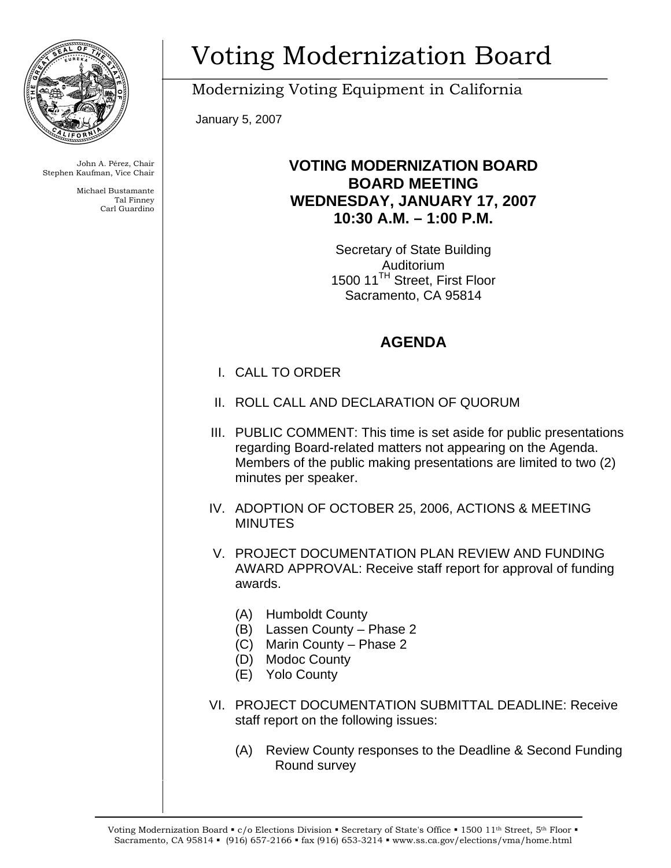

John A. Pérez, Chair Stephen Kaufman, Vice Chair

> Michael Bustamante Tal Finney Carl Guardino

## Voting Modernization Board

Modernizing Voting Equipment in California

January 5, 2007

## **VOTING MODERNIZATION BOARD BOARD MEETING WEDNESDAY, JANUARY 17, 2007 10:30 A.M. – 1:00 P.M.**

Secretary of State Building Auditorium 1500 11<sup>TH</sup> Street, First Floor Sacramento, CA 95814

## **AGENDA**

- I. CALL TO ORDER
- II. ROLL CALL AND DECLARATION OF QUORUM
- III. PUBLIC COMMENT: This time is set aside for public presentations regarding Board-related matters not appearing on the Agenda. Members of the public making presentations are limited to two (2) minutes per speaker.
- IV. ADOPTION OF OCTOBER 25, 2006, ACTIONS & MEETING **MINUTES**
- V. PROJECT DOCUMENTATION PLAN REVIEW AND FUNDING AWARD APPROVAL: Receive staff report for approval of funding awards.
	- (A) Humboldt County
	- (B) Lassen County Phase 2
	- (C) Marin County Phase 2
	- (D) Modoc County
	- (E) Yolo County
- VI. PROJECT DOCUMENTATION SUBMITTAL DEADLINE: Receive staff report on the following issues:
	- (A) Review County responses to the Deadline & Second Funding Round survey